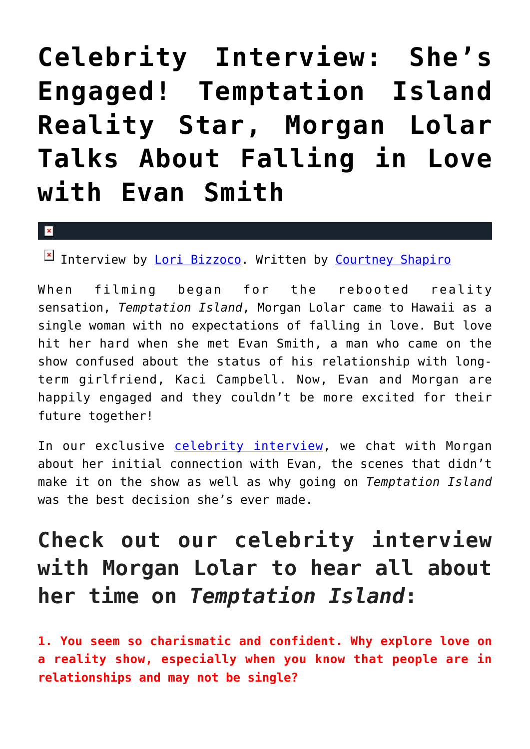# **[Celebrity Interview: She's](https://cupidspulse.com/129502/celebrity-interview-morgan-lolar-engaged-evan-smith-temptation-island/) [Engaged! Temptation Island](https://cupidspulse.com/129502/celebrity-interview-morgan-lolar-engaged-evan-smith-temptation-island/) [Reality Star, Morgan Lolar](https://cupidspulse.com/129502/celebrity-interview-morgan-lolar-engaged-evan-smith-temptation-island/) [Talks About Falling in Love](https://cupidspulse.com/129502/celebrity-interview-morgan-lolar-engaged-evan-smith-temptation-island/) [with Evan Smith](https://cupidspulse.com/129502/celebrity-interview-morgan-lolar-engaged-evan-smith-temptation-island/)**

#### $\mathbf{z}$

Interview by [Lori Bizzoco](http://cupidspulse.com/104596/lori-bizzoco/). Written by [Courtney Shapiro](http://cupidspulse.com/126719/courtney-shapiro/)

When filming began for the rebooted reality sensation, *Temptation Island*, Morgan Lolar came to Hawaii as a single woman with no expectations of falling in love. But love hit her hard when she met Evan Smith, a man who came on the show confused about the status of his relationship with longterm girlfriend, Kaci Campbell. Now, Evan and Morgan are happily engaged and they couldn't be more excited for their future together!

In our exclusive [celebrity interview](http://cupidspulse.com/celebrity-news/celebrity-interviews/), we chat with Morgan about her initial connection with Evan, the scenes that didn't make it on the show as well as why going on *Temptation Island* was the best decision she's ever made.

## **Check out our celebrity interview with Morgan Lolar to hear all about her time on** *Temptation Island***:**

**1. You seem so charismatic and confident. Why explore love on a reality show, especially when you know that people are in relationships and may not be single?**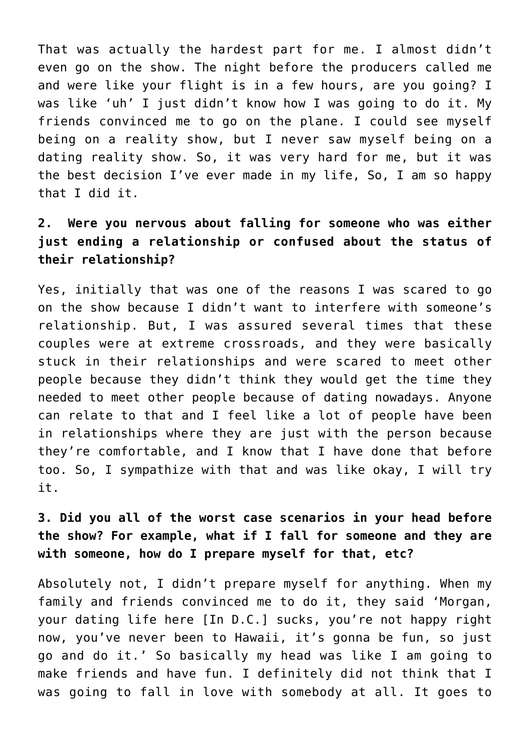That was actually the hardest part for me. I almost didn't even go on the show. The night before the producers called me and were like your flight is in a few hours, are you going? I was like 'uh' I just didn't know how I was going to do it. My friends convinced me to go on the plane. I could see myself being on a reality show, but I never saw myself being on a dating reality show. So, it was very hard for me, but it was the best decision I've ever made in my life, So, I am so happy that I did it.

## **2. Were you nervous about falling for someone who was either just ending a relationship or confused about the status of their relationship?**

Yes, initially that was one of the reasons I was scared to go on the show because I didn't want to interfere with someone's relationship. But, I was assured several times that these couples were at extreme crossroads, and they were basically stuck in their relationships and were scared to meet other people because they didn't think they would get the time they needed to meet other people because of dating nowadays. Anyone can relate to that and I feel like a lot of people have been in relationships where they are just with the person because they're comfortable, and I know that I have done that before too. So, I sympathize with that and was like okay, I will try it.

## **3. Did you all of the worst case scenarios in your head before the show? For example, what if I fall for someone and they are with someone, how do I prepare myself for that, etc?**

Absolutely not, I didn't prepare myself for anything. When my family and friends convinced me to do it, they said 'Morgan, your dating life here [In D.C.] sucks, you're not happy right now, you've never been to Hawaii, it's gonna be fun, so just go and do it.' So basically my head was like I am going to make friends and have fun. I definitely did not think that I was going to fall in love with somebody at all. It goes to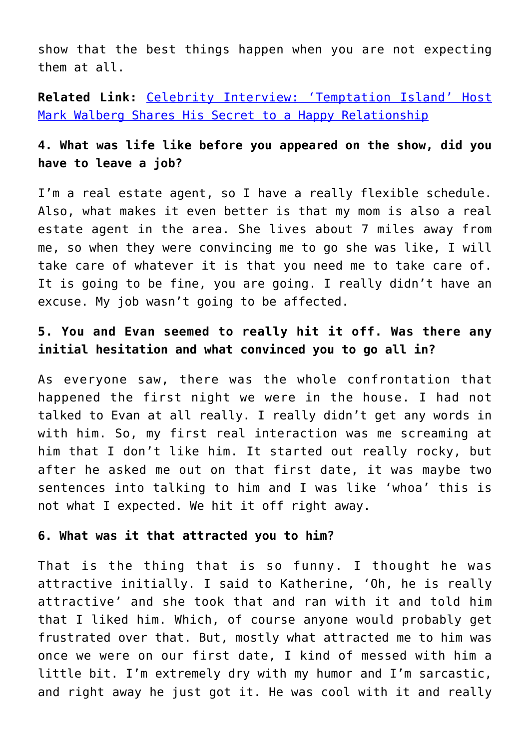show that the best things happen when you are not expecting them at all.

**Related Link:** [Celebrity Interview: 'Temptation Island' Host](http://cupidspulse.com/129108/celebrity-interview-temptation-island-host-mark-l-walberg-secrets-31-year-marriage/) [Mark Walberg Shares His Secret to a Happy Relationship](http://cupidspulse.com/129108/celebrity-interview-temptation-island-host-mark-l-walberg-secrets-31-year-marriage/)

## **4. What was life like before you appeared on the show, did you have to leave a job?**

I'm a real estate agent, so I have a really flexible schedule. Also, what makes it even better is that my mom is also a real estate agent in the area. She lives about 7 miles away from me, so when they were convincing me to go she was like, I will take care of whatever it is that you need me to take care of. It is going to be fine, you are going. I really didn't have an excuse. My job wasn't going to be affected.

## **5. You and Evan seemed to really hit it off. Was there any initial hesitation and what convinced you to go all in?**

As everyone saw, there was the whole confrontation that happened the first night we were in the house. I had not talked to Evan at all really. I really didn't get any words in with him. So, my first real interaction was me screaming at him that I don't like him. It started out really rocky, but after he asked me out on that first date, it was maybe two sentences into talking to him and I was like 'whoa' this is not what I expected. We hit it off right away.

#### **6. What was it that attracted you to him?**

That is the thing that is so funny. I thought he was attractive initially. I said to Katherine, 'Oh, he is really attractive' and she took that and ran with it and told him that I liked him. Which, of course anyone would probably get frustrated over that. But, mostly what attracted me to him was once we were on our first date, I kind of messed with him a little bit. I'm extremely dry with my humor and I'm sarcastic, and right away he just got it. He was cool with it and really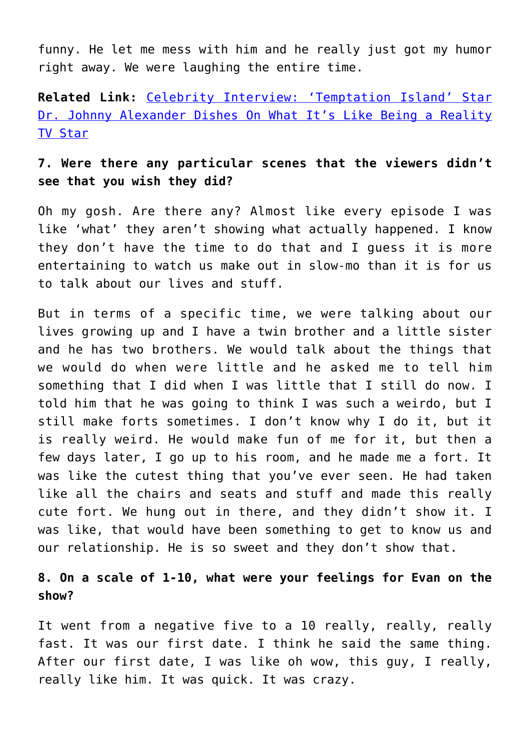funny. He let me mess with him and he really just got my humor right away. We were laughing the entire time.

**Related Link:** [Celebrity Interview: 'Temptation Island' Star](http://cupidspulse.com/129309/celebrity-interview-temptation-island-star-dr-johnny-alexander-dishes-what-like-being-reality-tv-star/) [Dr. Johnny Alexander Dishes On What It's Like Being a Reality](http://cupidspulse.com/129309/celebrity-interview-temptation-island-star-dr-johnny-alexander-dishes-what-like-being-reality-tv-star/) [TV Star](http://cupidspulse.com/129309/celebrity-interview-temptation-island-star-dr-johnny-alexander-dishes-what-like-being-reality-tv-star/)

## **7. Were there any particular scenes that the viewers didn't see that you wish they did?**

Oh my gosh. Are there any? Almost like every episode I was like 'what' they aren't showing what actually happened. I know they don't have the time to do that and I guess it is more entertaining to watch us make out in slow-mo than it is for us to talk about our lives and stuff.

But in terms of a specific time, we were talking about our lives growing up and I have a twin brother and a little sister and he has two brothers. We would talk about the things that we would do when were little and he asked me to tell him something that I did when I was little that I still do now. I told him that he was going to think I was such a weirdo, but I still make forts sometimes. I don't know why I do it, but it is really weird. He would make fun of me for it, but then a few days later, I go up to his room, and he made me a fort. It was like the cutest thing that you've ever seen. He had taken like all the chairs and seats and stuff and made this really cute fort. We hung out in there, and they didn't show it. I was like, that would have been something to get to know us and our relationship. He is so sweet and they don't show that.

## **8. On a scale of 1-10, what were your feelings for Evan on the show?**

It went from a negative five to a 10 really, really, really fast. It was our first date. I think he said the same thing. After our first date, I was like oh wow, this guy, I really, really like him. It was quick. It was crazy.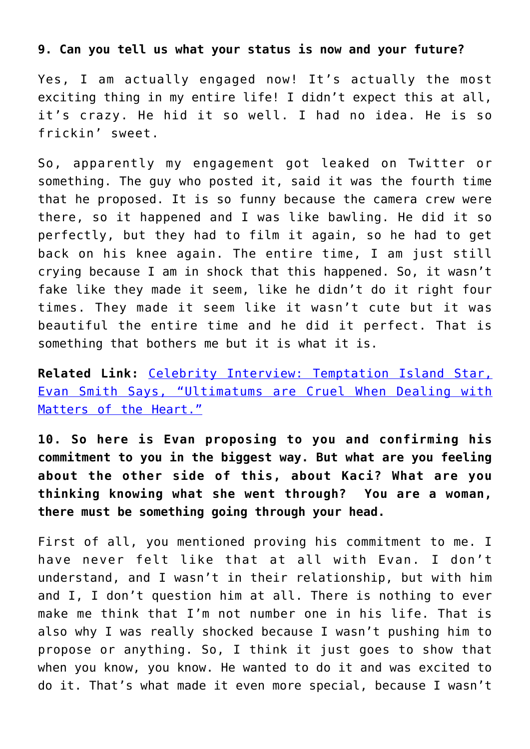#### **9. Can you tell us what your status is now and your future?**

Yes, I am actually engaged now! It's actually the most exciting thing in my entire life! I didn't expect this at all, it's crazy. He hid it so well. I had no idea. He is so frickin' sweet.

So, apparently my engagement got leaked on Twitter or something. The guy who posted it, said it was the fourth time that he proposed. It is so funny because the camera crew were there, so it happened and I was like bawling. He did it so perfectly, but they had to film it again, so he had to get back on his knee again. The entire time, I am just still crying because I am in shock that this happened. So, it wasn't fake like they made it seem, like he didn't do it right four times. They made it seem like it wasn't cute but it was beautiful the entire time and he did it perfect. That is something that bothers me but it is what it is.

**Related Link:** [Celebrity Interview: Temptation Island Star,](http://cupidspulse.com/129499/celebrity-interview-temptation-island-reality-star-evan-smith-ultimatums/#more-129499) [Evan Smith Says, "Ultimatums are Cruel When Dealing with](http://cupidspulse.com/129499/celebrity-interview-temptation-island-reality-star-evan-smith-ultimatums/#more-129499) [Matters of the Heart."](http://cupidspulse.com/129499/celebrity-interview-temptation-island-reality-star-evan-smith-ultimatums/#more-129499)

**10. So here is Evan proposing to you and confirming his commitment to you in the biggest way. But what are you feeling about the other side of this, about Kaci? What are you thinking knowing what she went through? You are a woman, there must be something going through your head.**

First of all, you mentioned proving his commitment to me. I have never felt like that at all with Evan. I don't understand, and I wasn't in their relationship, but with him and I, I don't question him at all. There is nothing to ever make me think that I'm not number one in his life. That is also why I was really shocked because I wasn't pushing him to propose or anything. So, I think it just goes to show that when you know, you know. He wanted to do it and was excited to do it. That's what made it even more special, because I wasn't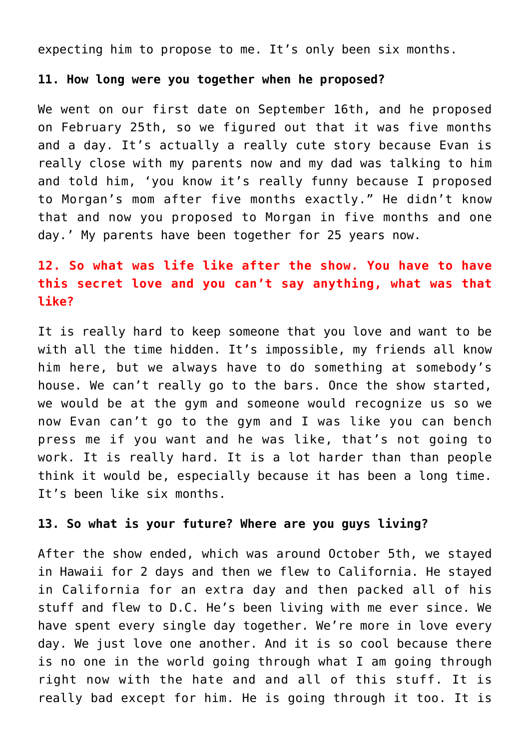expecting him to propose to me. It's only been six months.

#### **11. How long were you together when he proposed?**

We went on our first date on September 16th, and he proposed on February 25th, so we figured out that it was five months and a day. It's actually a really cute story because Evan is really close with my parents now and my dad was talking to him and told him, 'you know it's really funny because I proposed to Morgan's mom after five months exactly." He didn't know that and now you proposed to Morgan in five months and one day.' My parents have been together for 25 years now.

## **12. So what was life like after the show. You have to have this secret love and you can't say anything, what was that like?**

It is really hard to keep someone that you love and want to be with all the time hidden. It's impossible, my friends all know him here, but we always have to do something at somebody's house. We can't really go to the bars. Once the show started, we would be at the gym and someone would recognize us so we now Evan can't go to the gym and I was like you can bench press me if you want and he was like, that's not going to work. It is really hard. It is a lot harder than than people think it would be, especially because it has been a long time. It's been like six months.

### **13. So what is your future? Where are you guys living?**

After the show ended, which was around October 5th, we stayed in Hawaii for 2 days and then we flew to California. He stayed in California for an extra day and then packed all of his stuff and flew to D.C. He's been living with me ever since. We have spent every single day together. We're more in love every day. We just love one another. And it is so cool because there is no one in the world going through what I am going through right now with the hate and and all of this stuff. It is really bad except for him. He is going through it too. It is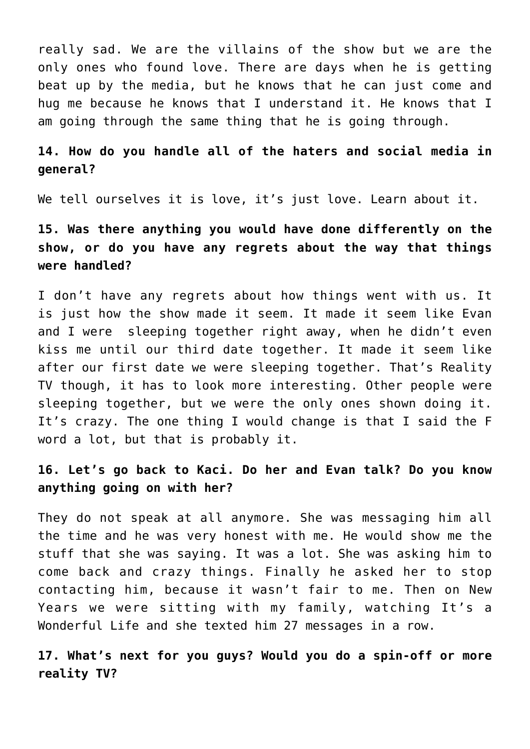really sad. We are the villains of the show but we are the only ones who found love. There are days when he is getting beat up by the media, but he knows that he can just come and hug me because he knows that I understand it. He knows that I am going through the same thing that he is going through.

## **14. How do you handle all of the haters and social media in general?**

We tell ourselves it is love, it's just love. Learn about it.

## **15. Was there anything you would have done differently on the show, or do you have any regrets about the way that things were handled?**

I don't have any regrets about how things went with us. It is just how the show made it seem. It made it seem like Evan and I were sleeping together right away, when he didn't even kiss me until our third date together. It made it seem like after our first date we were sleeping together. That's Reality TV though, it has to look more interesting. Other people were sleeping together, but we were the only ones shown doing it. It's crazy. The one thing I would change is that I said the F word a lot, but that is probably it.

## **16. Let's go back to Kaci. Do her and Evan talk? Do you know anything going on with her?**

They do not speak at all anymore. She was messaging him all the time and he was very honest with me. He would show me the stuff that she was saying. It was a lot. She was asking him to come back and crazy things. Finally he asked her to stop contacting him, because it wasn't fair to me. Then on New Years we were sitting with my family, watching It's a Wonderful Life and she texted him 27 messages in a row.

## **17. What's next for you guys? Would you do a spin-off or more reality TV?**